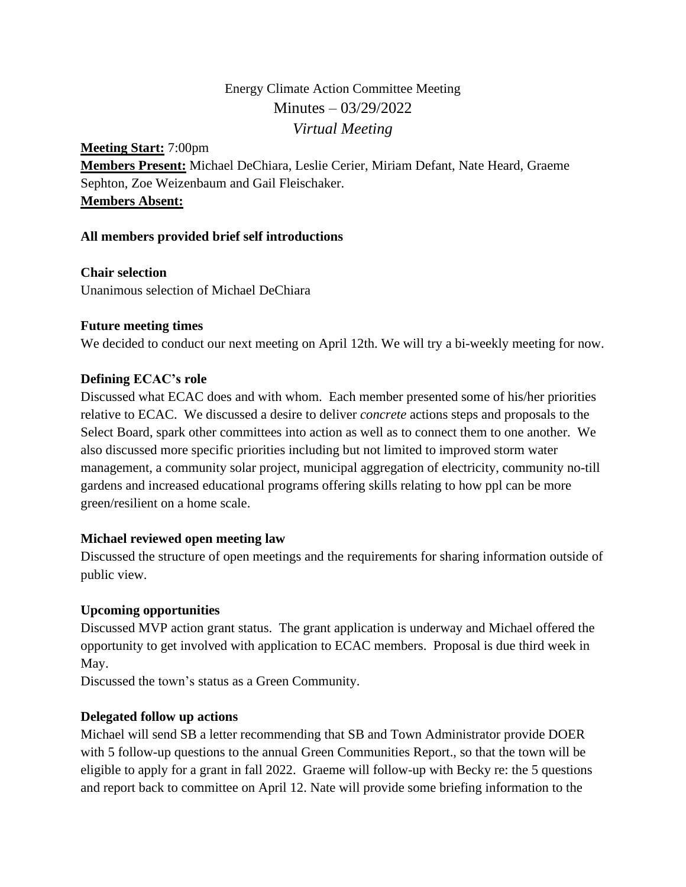# Energy Climate Action Committee Meeting Minutes – 03/29/2022 *Virtual Meeting*

**Meeting Start:** 7:00pm **Members Present:** Michael DeChiara, Leslie Cerier, Miriam Defant, Nate Heard, Graeme Sephton, Zoe Weizenbaum and Gail Fleischaker. **Members Absent:**

## **All members provided brief self introductions**

**Chair selection** Unanimous selection of Michael DeChiara

## **Future meeting times**

We decided to conduct our next meeting on April 12th. We will try a bi-weekly meeting for now.

## **Defining ECAC's role**

Discussed what ECAC does and with whom. Each member presented some of his/her priorities relative to ECAC. We discussed a desire to deliver *concrete* actions steps and proposals to the Select Board, spark other committees into action as well as to connect them to one another. We also discussed more specific priorities including but not limited to improved storm water management, a community solar project, municipal aggregation of electricity, community no-till gardens and increased educational programs offering skills relating to how ppl can be more green/resilient on a home scale.

## **Michael reviewed open meeting law**

Discussed the structure of open meetings and the requirements for sharing information outside of public view.

## **Upcoming opportunities**

Discussed MVP action grant status. The grant application is underway and Michael offered the opportunity to get involved with application to ECAC members. Proposal is due third week in May.

Discussed the town's status as a Green Community.

## **Delegated follow up actions**

Michael will send SB a letter recommending that SB and Town Administrator provide DOER with 5 follow-up questions to the annual Green Communities Report., so that the town will be eligible to apply for a grant in fall 2022. Graeme will follow-up with Becky re: the 5 questions and report back to committee on April 12. Nate will provide some briefing information to the